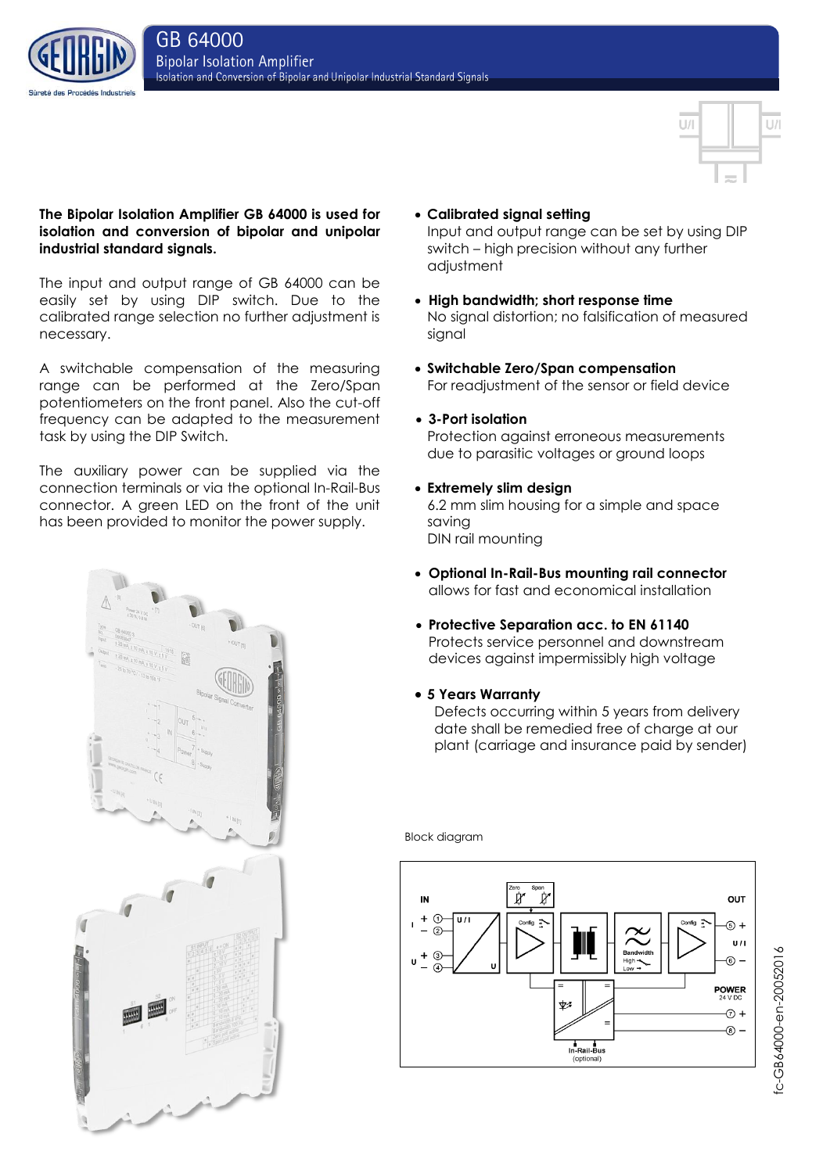



# **The Bipolar Isolation Amplifier GB 64000 is used for isolation and conversion of bipolar and unipolar industrial standard signals.**

The input and output range of GB 64000 can be easily set by using DIP switch. Due to the calibrated range selection no further adjustment is necessary.

A switchable compensation of the measuring range can be performed at the Zero/Span potentiometers on the front panel. Also the cut-off frequency can be adapted to the measurement task by using the DIP Switch.

The auxiliary power can be supplied via the connection terminals or via the optional In-Rail-Bus connector. A green LED on the front of the unit has been provided to monitor the power supply.



**Calibrated signal setting**

Input and output range can be set by using DIP switch – high precision without any further adjustment

- **High bandwidth; short response time** No signal distortion; no falsification of measured signal
- **Switchable Zero/Span compensation** For readjustment of the sensor or field device
- **3-Port isolation** Protection against erroneous measurements due to parasitic voltages or ground loops
- **Extremely slim design** 6.2 mm slim housing for a simple and space saving DIN rail mounting
- **Optional In-Rail-Bus mounting rail connector** allows for fast and economical installation
- **Protective Separation acc. to EN 61140** Protects service personnel and downstream devices against impermissibly high voltage
- **5 Years Warranty**

Defects occurring within 5 years from delivery date shall be remedied free of charge at our plant (carriage and insurance paid by sender)



fc-GB64000-en-20052016

fc-GB64000-en-20052016

Block diagram